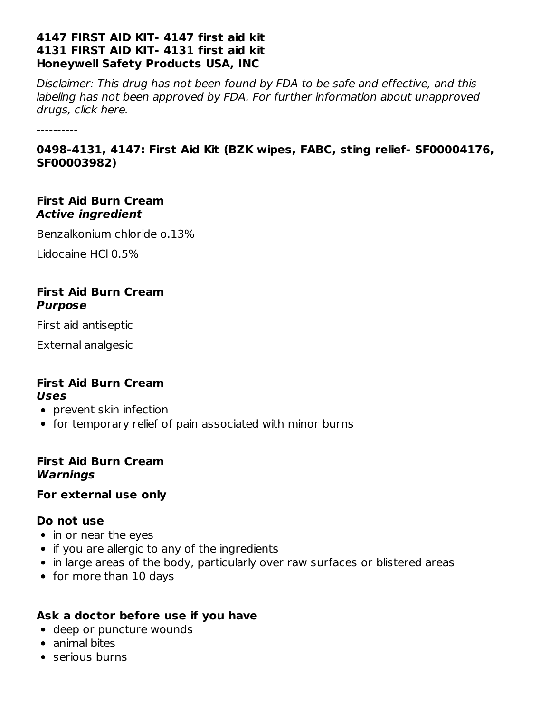#### **4147 FIRST AID KIT- 4147 first aid kit 4131 FIRST AID KIT- 4131 first aid kit Honeywell Safety Products USA, INC**

Disclaimer: This drug has not been found by FDA to be safe and effective, and this labeling has not been approved by FDA. For further information about unapproved drugs, click here.

----------

### **0498-4131, 4147: First Aid Kit (BZK wipes, FABC, sting relief- SF00004176, SF00003982)**

#### **First Aid Burn Cream Active ingredient**

Benzalkonium chloride o.13%

Lidocaine HCl 0.5%

#### **First Aid Burn Cream Purpose**

First aid antiseptic

External analgesic

#### **First Aid Burn Cream Uses**

- prevent skin infection
- for temporary relief of pain associated with minor burns

#### **First Aid Burn Cream Warnings**

### **For external use only**

### **Do not use**

- in or near the eyes
- if you are allergic to any of the ingredients
- in large areas of the body, particularly over raw surfaces or blistered areas
- for more than 10 days

### **Ask a doctor before use if you have**

- deep or puncture wounds
- animal bites
- serious burns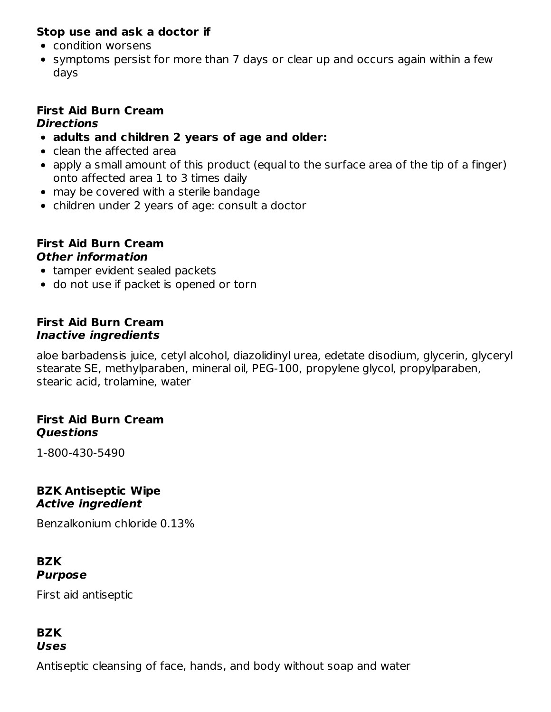## **Stop use and ask a doctor if**

- condition worsens
- symptoms persist for more than 7 days or clear up and occurs again within a few days

#### **First Aid Burn Cream Directions**

- **adults and children 2 years of age and older:**
- clean the affected area
- apply a small amount of this product (equal to the surface area of the tip of a finger) onto affected area 1 to 3 times daily
- may be covered with a sterile bandage
- children under 2 years of age: consult a doctor

#### **First Aid Burn Cream Other information**

- tamper evident sealed packets
- do not use if packet is opened or torn

#### **First Aid Burn Cream Inactive ingredients**

aloe barbadensis juice, cetyl alcohol, diazolidinyl urea, edetate disodium, glycerin, glyceryl stearate SE, methylparaben, mineral oil, PEG-100, propylene glycol, propylparaben, stearic acid, trolamine, water

### **First Aid Burn Cream Questions**

1-800-430-5490

#### **BZK Antiseptic Wipe Active ingredient**

Benzalkonium chloride 0.13%

#### **BZK Purpose**

First aid antiseptic

### **BZK Uses**

Antiseptic cleansing of face, hands, and body without soap and water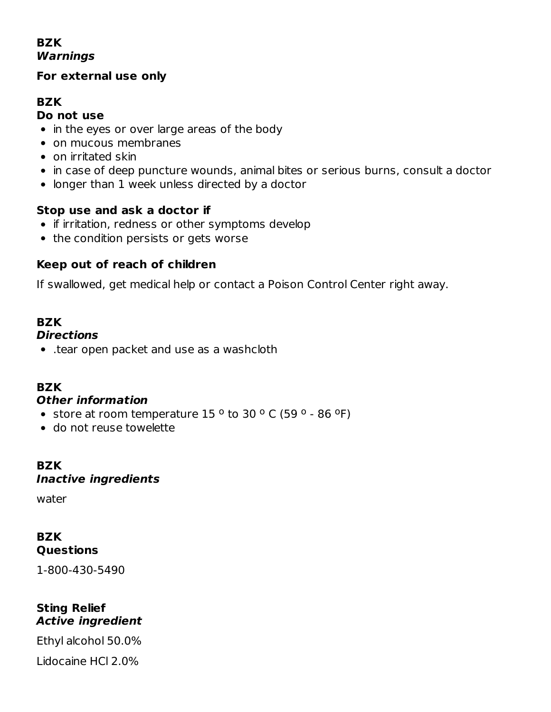## **BZK Warnings**

### **For external use only**

## **BZK**

#### **Do not use**

- in the eyes or over large areas of the body
- on mucous membranes
- on irritated skin
- in case of deep puncture wounds, animal bites or serious burns, consult a doctor
- longer than 1 week unless directed by a doctor

### **Stop use and ask a doctor if**

- if irritation, redness or other symptoms develop
- the condition persists or gets worse

## **Keep out of reach of children**

If swallowed, get medical help or contact a Poison Control Center right away.

#### **BZK Directions**

.tear open packet and use as a washcloth

## **BZK**

#### **Other information**

- store at room temperature  $15^{\circ}$  to 30  $^{\circ}$  C (59  $^{\circ}$  86  $^{\circ}$ F)
- do not reuse towelette

## **BZK Inactive ingredients**

water

## **BZK Questions**

1-800-430-5490

#### **Sting Relief Active ingredient**

Ethyl alcohol 50.0% Lidocaine HCl 2.0%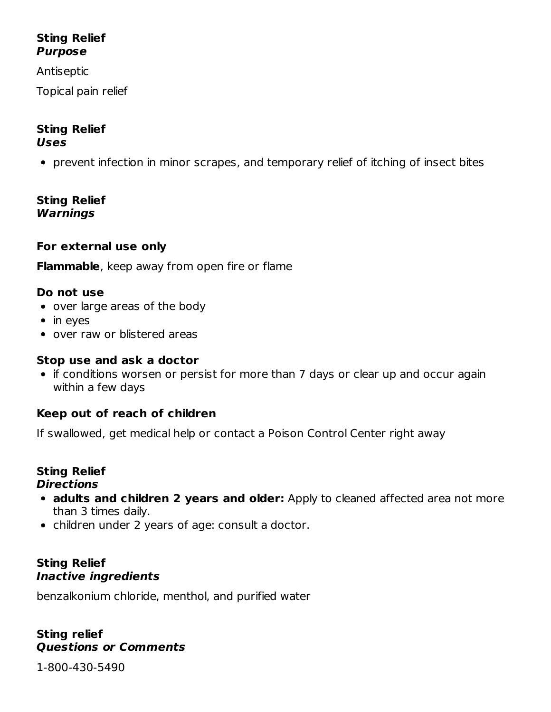## **Sting Relief Purpose**

Antiseptic

Topical pain relief

#### **Sting Relief Uses**

prevent infection in minor scrapes, and temporary relief of itching of insect bites

**Sting Relief Warnings**

### **For external use only**

**Flammable**, keep away from open fire or flame

### **Do not use**

- over large areas of the body
- $\bullet$  in eyes
- over raw or blistered areas

#### **Stop use and ask a doctor**

• if conditions worsen or persist for more than 7 days or clear up and occur again within a few days

### **Keep out of reach of children**

If swallowed, get medical help or contact a Poison Control Center right away

#### **Sting Relief Directions**

- **adults and children 2 years and older:** Apply to cleaned affected area not more than 3 times daily.
- children under 2 years of age: consult a doctor.

#### **Sting Relief Inactive ingredients**

benzalkonium chloride, menthol, and purified water

#### **Sting relief Questions or Comments**

1-800-430-5490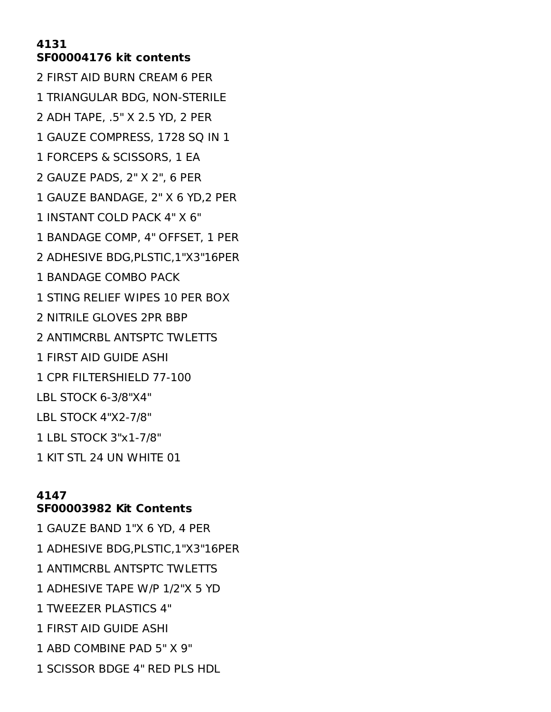#### **SF00004176 kit contents**

 FIRST AID BURN CREAM 6 PER TRIANGULAR BDG, NON-STERILE ADH TAPE, .5" X 2.5 YD, 2 PER GAUZE COMPRESS, 1728 SQ IN 1 FORCEPS & SCISSORS, 1 EA GAUZE PADS, 2" X 2", 6 PER GAUZE BANDAGE, 2" X 6 YD,2 PER INSTANT COLD PACK 4" X 6" BANDAGE COMP, 4" OFFSET, 1 PER ADHESIVE BDG,PLSTIC,1"X3"16PER BANDAGE COMBO PACK STING RELIEF WIPES 10 PER BOX NITRILE GLOVES 2PR BBP ANTIMCRBL ANTSPTC TWLETTS FIRST AID GUIDE ASHI CPR FILTERSHIELD 77-100 LBL STOCK 6-3/8"X4" LBL STOCK 4"X2-7/8" LBL STOCK 3"x1-7/8" KIT STL 24 UN WHITE 01

#### **SF00003982 Kit Contents**

 GAUZE BAND 1"X 6 YD, 4 PER ADHESIVE BDG,PLSTIC,1"X3"16PER ANTIMCRBL ANTSPTC TWLETTS ADHESIVE TAPE W/P 1/2"X 5 YD TWEEZER PLASTICS 4" FIRST AID GUIDE ASHI ABD COMBINE PAD 5" X 9" SCISSOR BDGE 4" RED PLS HDL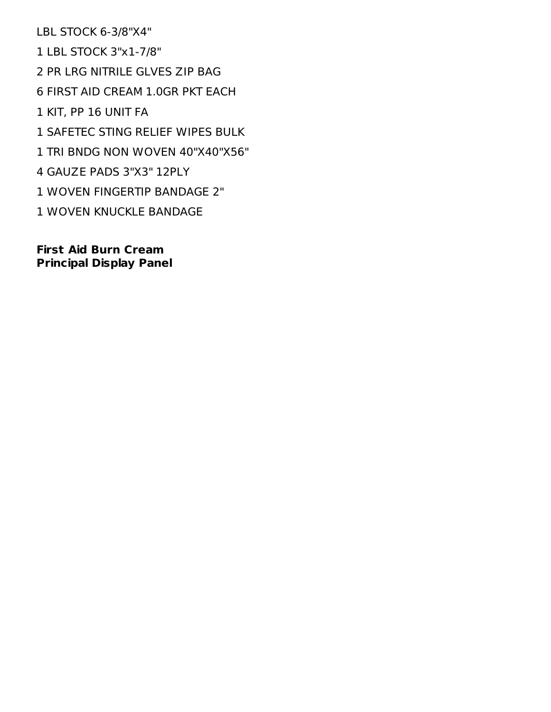LBL STOCK 6-3/8"X4" LBL STOCK 3"x1-7/8" PR LRG NITRILE GLVES ZIP BAG FIRST AID CREAM 1.0GR PKT EACH KIT, PP 16 UNIT FA SAFETEC STING RELIEF WIPES BULK TRI BNDG NON WOVEN 40"X40"X56" GAUZE PADS 3"X3" 12PLY WOVEN FINGERTIP BANDAGE 2" WOVEN KNUCKLE BANDAGE

**First Aid Burn Cream Principal Display Panel**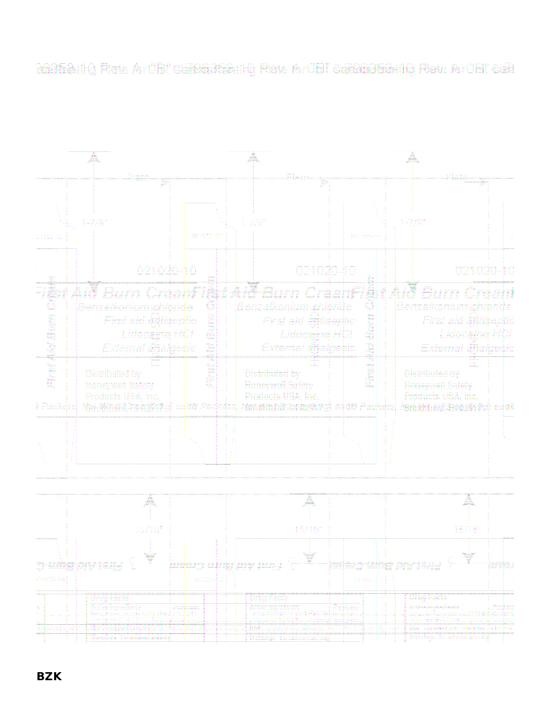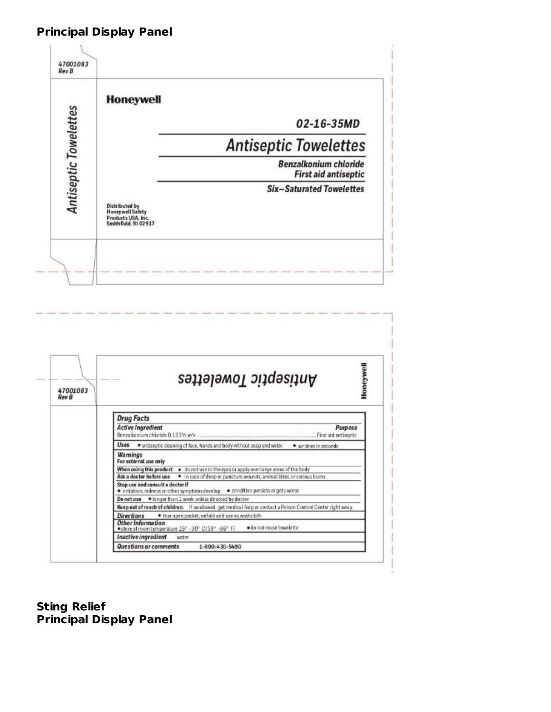## **Principal Display Panel**



| 47001083<br><b>Rev B</b> | Antiseptic Towelettes                                                                                                |
|--------------------------|----------------------------------------------------------------------------------------------------------------------|
|                          | <b>Drug Facts</b>                                                                                                    |
|                          | <b>Active Ingredient</b><br><b>Purpose</b><br>Benzalkonium chloride 0.133% w/v<br>First aid antiseptic               |
|                          | Uses<br>· antiseptic cleaning of face, hands and body without soap and water.<br>· air dries in seconds              |
|                          | Warnings<br>For external use only                                                                                    |
|                          | When using this product . do not use in the eyes or apply overlarge areas of the body                                |
|                          | · in case of deep or puncture wounds, animal bites, or serious bums<br>Ask a doctor before use                       |
|                          | Stop use and consult a doctor if<br>. irritation, redness or other symptoms develop condition persists or gets worse |
|                          | Do not use . I longer than 1 week unless directed by doctor                                                          |
|                          | Keep out of reach of children. If swallowed, get medical help or contact a Poison Control Center right away.         |
|                          | . tear open packet, unfold and use as washcloth<br><b>Directions</b>                                                 |
|                          | Other Information<br>· do not reuse towelette<br>·store at room temperature 15° -30° C(59° -86° F)                   |
|                          |                                                                                                                      |

**Sting Relief Principal Display Panel**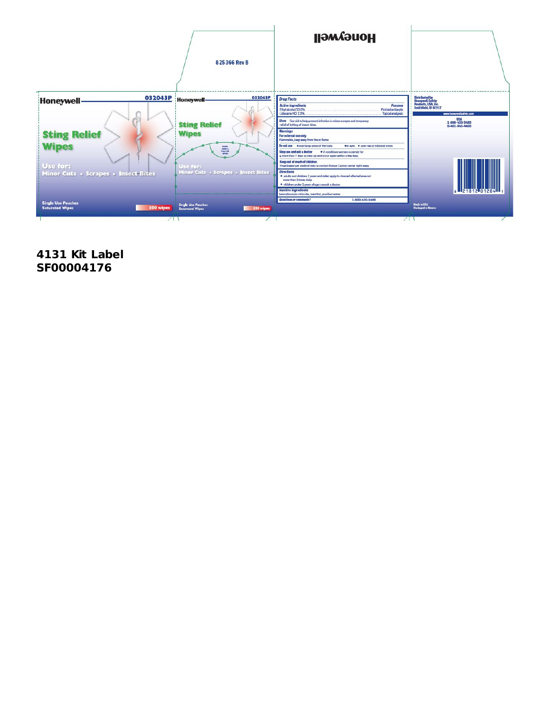

**4131 Kit Label SF00004176**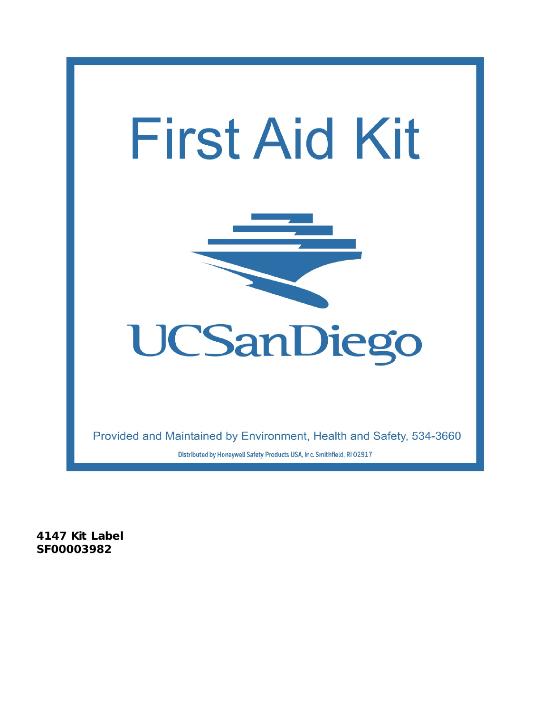

**4147 Kit Label SF00003982**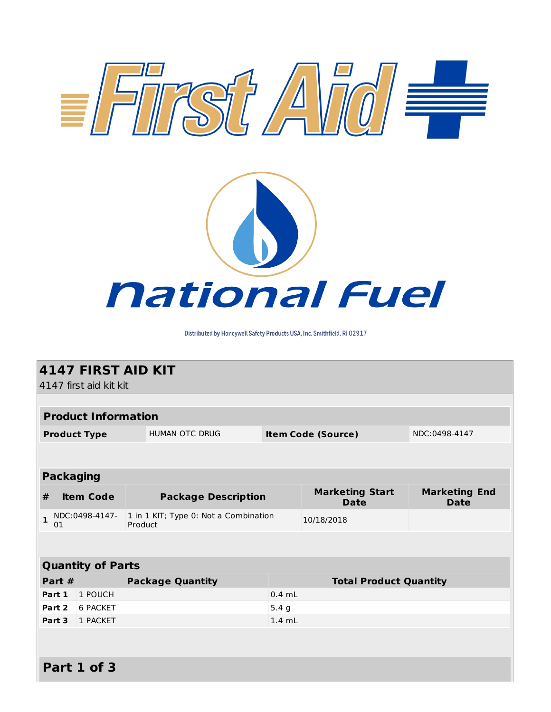

Distributed by Honeywell Safety Products USA, Inc. Smithfield, RI 02917

| <b>4147 FIRST AID KIT</b> |                            |                                                  |                  |                                       |                                     |  |
|---------------------------|----------------------------|--------------------------------------------------|------------------|---------------------------------------|-------------------------------------|--|
|                           | 4147 first aid kit kit     |                                                  |                  |                                       |                                     |  |
|                           |                            |                                                  |                  |                                       |                                     |  |
|                           | <b>Product Information</b> |                                                  |                  |                                       |                                     |  |
|                           | <b>Product Type</b>        | <b>HUMAN OTC DRUG</b>                            |                  | <b>Item Code (Source)</b>             | NDC:0498-4147                       |  |
|                           |                            |                                                  |                  |                                       |                                     |  |
|                           |                            |                                                  |                  |                                       |                                     |  |
| <b>Packaging</b>          |                            |                                                  |                  |                                       |                                     |  |
| #                         | <b>Item Code</b>           | <b>Package Description</b>                       |                  | <b>Marketing Start</b><br><b>Date</b> | <b>Marketing End</b><br><b>Date</b> |  |
| $\mathbf{1}$<br>01        | NDC:0498-4147-             | 1 in 1 KIT; Type 0: Not a Combination<br>Product |                  | 10/18/2018                            |                                     |  |
|                           |                            |                                                  |                  |                                       |                                     |  |
|                           | <b>Quantity of Parts</b>   |                                                  |                  |                                       |                                     |  |
| Part #                    |                            | <b>Package Quantity</b>                          |                  | <b>Total Product Quantity</b>         |                                     |  |
| Part 1                    | 1 POUCH                    |                                                  | $0.4$ mL         |                                       |                                     |  |
| Part 2                    | 6 PACKET                   |                                                  | 5.4 <sub>g</sub> |                                       |                                     |  |
| Part 3                    | 1 PACKET                   |                                                  | $1.4$ mL         |                                       |                                     |  |
|                           |                            |                                                  |                  |                                       |                                     |  |
|                           |                            |                                                  |                  |                                       |                                     |  |
|                           | Part 1 of 3                |                                                  |                  |                                       |                                     |  |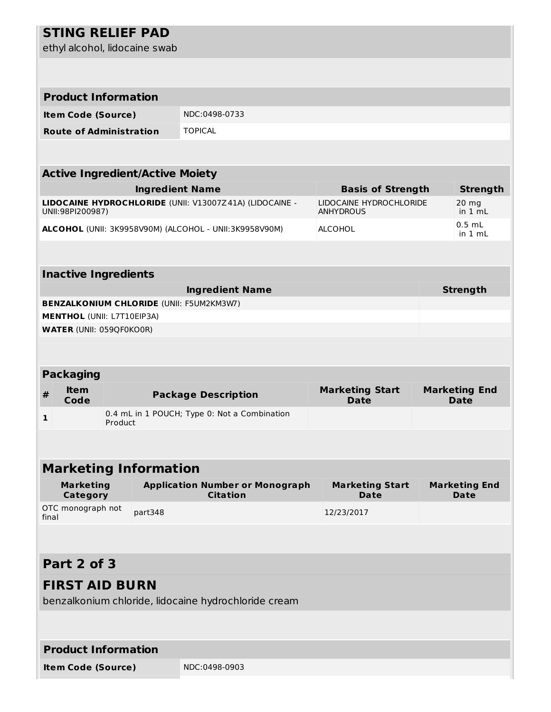# **STING RELIEF PAD**

ethyl alcohol, lidocaine swab

| <b>Product Information</b>                                                           |         |                        |                                                           |                                             |                                     |  |  |
|--------------------------------------------------------------------------------------|---------|------------------------|-----------------------------------------------------------|---------------------------------------------|-------------------------------------|--|--|
| <b>Item Code (Source)</b>                                                            |         |                        | NDC:0498-0733                                             |                                             |                                     |  |  |
| <b>Route of Administration</b>                                                       |         |                        | <b>TOPICAL</b>                                            |                                             |                                     |  |  |
|                                                                                      |         |                        |                                                           |                                             |                                     |  |  |
| <b>Active Ingredient/Active Moiety</b>                                               |         |                        |                                                           |                                             |                                     |  |  |
|                                                                                      |         | <b>Ingredient Name</b> |                                                           | <b>Basis of Strength</b>                    | <b>Strength</b>                     |  |  |
| UNII:98PI200987)                                                                     |         |                        | LIDOCAINE HYDROCHLORIDE (UNII: V13007Z41A) (LIDOCAINE -   | LIDOCAINE HYDROCHLORIDE<br><b>ANHYDROUS</b> | $20$ mg<br>in 1 mL                  |  |  |
|                                                                                      |         |                        | ALCOHOL (UNII: 3K9958V90M) (ALCOHOL - UNII:3K9958V90M)    | <b>ALCOHOL</b>                              | $0.5$ mL<br>in $1 \text{ mL}$       |  |  |
|                                                                                      |         |                        |                                                           |                                             |                                     |  |  |
| <b>Inactive Ingredients</b>                                                          |         |                        |                                                           |                                             |                                     |  |  |
|                                                                                      |         |                        | <b>Ingredient Name</b>                                    |                                             | <b>Strength</b>                     |  |  |
| <b>BENZALKONIUM CHLORIDE (UNII: F5UM2KM3W7)</b><br><b>MENTHOL (UNII: L7T10EIP3A)</b> |         |                        |                                                           |                                             |                                     |  |  |
| <b>WATER (UNII: 059QF0KO0R)</b>                                                      |         |                        |                                                           |                                             |                                     |  |  |
|                                                                                      |         |                        |                                                           |                                             |                                     |  |  |
|                                                                                      |         |                        |                                                           |                                             |                                     |  |  |
| <b>Packaging</b>                                                                     |         |                        |                                                           |                                             |                                     |  |  |
| <b>Item</b>                                                                          |         |                        |                                                           |                                             |                                     |  |  |
| #<br>Code                                                                            |         |                        | <b>Package Description</b>                                | <b>Marketing Start</b><br><b>Date</b>       | <b>Marketing End</b><br><b>Date</b> |  |  |
| 1                                                                                    | Product |                        | 0.4 mL in 1 POUCH; Type 0: Not a Combination              |                                             |                                     |  |  |
|                                                                                      |         |                        |                                                           |                                             |                                     |  |  |
| <b>Marketing Information</b>                                                         |         |                        |                                                           |                                             |                                     |  |  |
| <b>Marketing</b><br><b>Category</b>                                                  |         |                        | <b>Application Number or Monograph</b><br><b>Citation</b> | <b>Marketing Start</b><br><b>Date</b>       | <b>Marketing End</b><br><b>Date</b> |  |  |
| OTC monograph not<br>final                                                           |         | part348                |                                                           | 12/23/2017                                  |                                     |  |  |
|                                                                                      |         |                        |                                                           |                                             |                                     |  |  |
| Part 2 of 3                                                                          |         |                        |                                                           |                                             |                                     |  |  |
| <b>FIRST AID BURN</b>                                                                |         |                        | benzalkonium chloride, lidocaine hydrochloride cream      |                                             |                                     |  |  |
|                                                                                      |         |                        |                                                           |                                             |                                     |  |  |
| <b>Product Information</b>                                                           |         |                        |                                                           |                                             |                                     |  |  |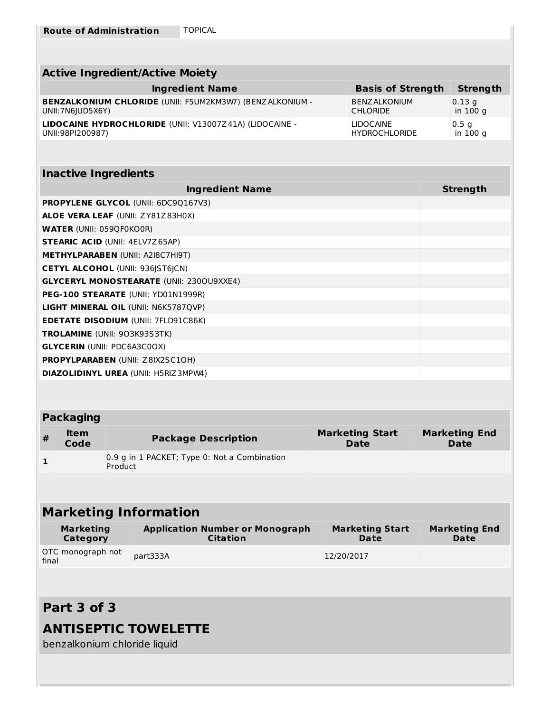| <b>Active Ingredient/Active Moiety</b>                          |                          |                  |  |  |  |
|-----------------------------------------------------------------|--------------------------|------------------|--|--|--|
| <b>Ingredient Name</b>                                          | <b>Basis of Strength</b> | <b>Strength</b>  |  |  |  |
| <b>BENZALKONIUM CHLORIDE (UNII: F5UM2KM3W7) (BENZALKONIUM -</b> | <b>BENZ ALKONIUM</b>     | 0.13q            |  |  |  |
| UNII: 7N6JUD5X6Y)                                               | <b>CHLORIDE</b>          | in 100 g         |  |  |  |
| LIDOCAINE HYDROCHLORIDE (UNII: V13007Z41A) (LIDOCAINE -         | <b>LIDOCAINE</b>         | 0.5 <sub>q</sub> |  |  |  |
| UNII:98PI200987)                                                | <b>HYDROCHLORIDE</b>     | in 100 g         |  |  |  |

#### **Inactive Ingredients**

| <b>Ingredient Name</b>                          | <b>Strength</b> |
|-------------------------------------------------|-----------------|
| <b>PROPYLENE GLYCOL (UNII: 6DC9Q167V3)</b>      |                 |
| <b>ALOE VERA LEAF (UNII: ZY81Z83H0X)</b>        |                 |
| <b>WATER (UNII: 059QF0KO0R)</b>                 |                 |
| <b>STEARIC ACID (UNII: 4ELV7Z65AP)</b>          |                 |
| <b>METHYLPARABEN (UNII: A2I8C7HI9T)</b>         |                 |
| <b>CETYL ALCOHOL (UNII: 936 ST6 CN)</b>         |                 |
| <b>GLYCERYL MONOSTEARATE (UNII: 2300U9XXE4)</b> |                 |
| PEG-100 STEARATE (UNII: YD01N1999R)             |                 |
| <b>LIGHT MINERAL OIL (UNII: N6K5787QVP)</b>     |                 |
| <b>EDETATE DISODIUM (UNII: 7FLD91C86K)</b>      |                 |
| <b>TROLAMINE</b> (UNII: 903K93S3TK)             |                 |
| <b>GLYCERIN (UNII: PDC6A3C0OX)</b>              |                 |
| <b>PROPYLPARABEN (UNII: Z8IX2SC10H)</b>         |                 |
| <b>DIAZOLIDINYL UREA (UNII: H5RIZ3MPW4)</b>     |                 |

## **Packaging**

| ltem<br>#<br>Code | <b>Package Description</b>                   | <b>Marketing Start</b><br><b>Date</b> | <b>Marketing End</b><br><b>Date</b> |
|-------------------|----------------------------------------------|---------------------------------------|-------------------------------------|
| Product           | 0.9 g in 1 PACKET; Type 0: Not a Combination |                                       |                                     |

# **Marketing Information**

| Marketing                  | <b>Application Number or Monograph</b> | <b>Marketing Start</b> | <b>Marketing End</b> |
|----------------------------|----------------------------------------|------------------------|----------------------|
| Category                   | <b>Citation</b>                        | Date                   | <b>Date</b>          |
| OTC monograph not<br>final | part333A                               | 12/20/2017             |                      |

# **Part 3 of 3**

## **ANTISEPTIC TOWELETTE**

benzalkonium chloride liquid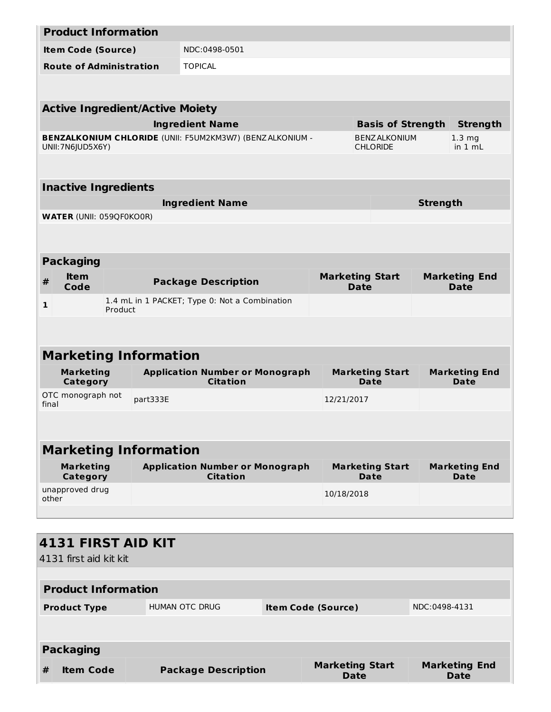|            |                                            | <b>Product Information</b>      |                                                                 |                                       |                                       |                                     |  |  |
|------------|--------------------------------------------|---------------------------------|-----------------------------------------------------------------|---------------------------------------|---------------------------------------|-------------------------------------|--|--|
|            | NDC:0498-0501<br><b>Item Code (Source)</b> |                                 |                                                                 |                                       |                                       |                                     |  |  |
|            |                                            | <b>Route of Administration</b>  | <b>TOPICAL</b>                                                  |                                       |                                       |                                     |  |  |
|            |                                            |                                 |                                                                 |                                       |                                       |                                     |  |  |
|            | <b>Active Ingredient/Active Moiety</b>     |                                 |                                                                 |                                       |                                       |                                     |  |  |
|            |                                            |                                 | <b>Ingredient Name</b>                                          |                                       | <b>Basis of Strength</b>              | <b>Strength</b>                     |  |  |
|            |                                            |                                 | <b>BENZALKONIUM CHLORIDE (UNII: F5UM2KM3W7) (BENZALKONIUM -</b> |                                       | <b>BENZ ALKONIUM</b>                  | $1.3 \, mg$                         |  |  |
|            | UNII: 7N6JUD5X6Y)                          |                                 |                                                                 |                                       | <b>CHLORIDE</b>                       | in 1 mL                             |  |  |
|            |                                            |                                 |                                                                 |                                       |                                       |                                     |  |  |
|            |                                            | <b>Inactive Ingredients</b>     |                                                                 |                                       |                                       |                                     |  |  |
|            |                                            |                                 | <b>Ingredient Name</b>                                          |                                       |                                       | <b>Strength</b>                     |  |  |
|            |                                            | <b>WATER (UNII: 059QF0KO0R)</b> |                                                                 |                                       |                                       |                                     |  |  |
|            |                                            |                                 |                                                                 |                                       |                                       |                                     |  |  |
|            | <b>Packaging</b>                           |                                 |                                                                 |                                       |                                       |                                     |  |  |
| $\pmb{\#}$ | <b>Item</b><br>Code                        |                                 | <b>Package Description</b>                                      | <b>Marketing Start</b><br><b>Date</b> |                                       | <b>Marketing End</b><br><b>Date</b> |  |  |
| 1          |                                            |                                 | 1.4 mL in 1 PACKET; Type 0: Not a Combination                   |                                       |                                       |                                     |  |  |
|            |                                            | Product                         |                                                                 |                                       |                                       |                                     |  |  |
|            |                                            |                                 |                                                                 |                                       |                                       |                                     |  |  |
|            |                                            | <b>Marketing Information</b>    |                                                                 |                                       |                                       |                                     |  |  |
|            | <b>Marketing</b><br><b>Category</b>        |                                 | <b>Application Number or Monograph</b><br><b>Citation</b>       |                                       | <b>Marketing Start</b><br>Date        | <b>Marketing End</b><br>Date        |  |  |
| final      | OTC monograph not                          | part333E                        |                                                                 | 12/21/2017                            |                                       |                                     |  |  |
|            |                                            |                                 |                                                                 |                                       |                                       |                                     |  |  |
|            |                                            |                                 |                                                                 |                                       |                                       |                                     |  |  |
|            |                                            | <b>Marketing Information</b>    |                                                                 |                                       |                                       |                                     |  |  |
|            | <b>Marketing</b><br>Category               |                                 | <b>Application Number or Monograph</b><br><b>Citation</b>       |                                       | <b>Marketing Start</b><br><b>Date</b> | <b>Marketing End</b><br>Date        |  |  |
| other      | unapproved drug                            |                                 |                                                                 | 10/18/2018                            |                                       |                                     |  |  |
|            |                                            |                                 |                                                                 |                                       |                                       |                                     |  |  |
|            |                                            |                                 |                                                                 |                                       |                                       |                                     |  |  |
|            |                                            | <b>4131 FIRST AID KIT</b>       |                                                                 |                                       |                                       |                                     |  |  |

4131 first aid kit kit

**Product Information Product Type HUMAN OTC DRUG <b>Item Code (Source)** NDC:0498-4131 **Packaging # Item Code Package Description Marketing Start Date Marketing End Date**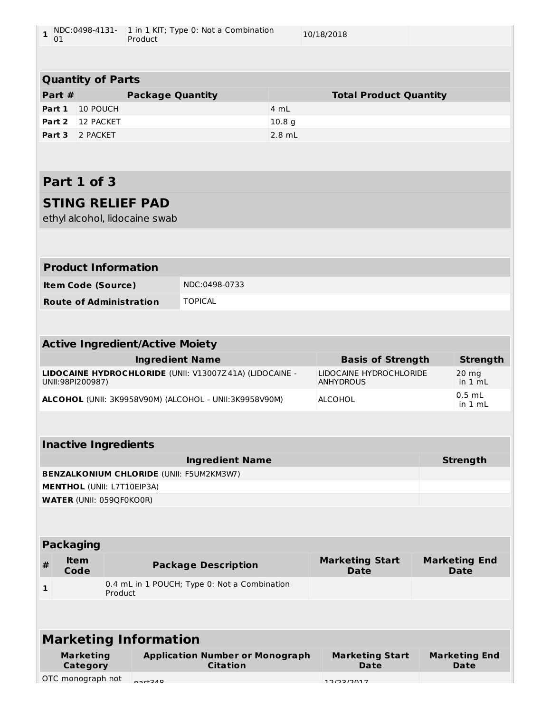| $\mathbf{1}$<br>01 | NDC:0498-4131- 1 in 1 KIT; Type 0: Not a Combination<br>Product |                                                          |                                                           | 10/18/2018        |                                             |                                     |
|--------------------|-----------------------------------------------------------------|----------------------------------------------------------|-----------------------------------------------------------|-------------------|---------------------------------------------|-------------------------------------|
|                    |                                                                 |                                                          |                                                           |                   |                                             |                                     |
|                    | <b>Quantity of Parts</b>                                        |                                                          |                                                           |                   |                                             |                                     |
| Part #             |                                                                 | <b>Package Quantity</b>                                  |                                                           |                   | <b>Total Product Quantity</b>               |                                     |
| Part 1             | 10 POUCH                                                        |                                                          |                                                           | 4 mL              |                                             |                                     |
| Part 2             | 12 PACKET                                                       |                                                          |                                                           | 10.8 <sub>g</sub> |                                             |                                     |
| Part 3             | 2 PACKET                                                        |                                                          |                                                           | $2.8$ mL          |                                             |                                     |
|                    |                                                                 |                                                          |                                                           |                   |                                             |                                     |
|                    | Part 1 of 3                                                     |                                                          |                                                           |                   |                                             |                                     |
|                    |                                                                 | <b>STING RELIEF PAD</b><br>ethyl alcohol, lidocaine swab |                                                           |                   |                                             |                                     |
|                    |                                                                 |                                                          |                                                           |                   |                                             |                                     |
|                    | <b>Product Information</b>                                      |                                                          |                                                           |                   |                                             |                                     |
|                    | <b>Item Code (Source)</b>                                       |                                                          | NDC:0498-0733                                             |                   |                                             |                                     |
|                    | <b>Route of Administration</b>                                  |                                                          | <b>TOPICAL</b>                                            |                   |                                             |                                     |
|                    |                                                                 |                                                          |                                                           |                   |                                             |                                     |
|                    |                                                                 | <b>Active Ingredient/Active Moiety</b>                   |                                                           |                   |                                             |                                     |
|                    |                                                                 | <b>Ingredient Name</b>                                   |                                                           |                   | <b>Basis of Strength</b>                    | <b>Strength</b>                     |
|                    |                                                                 |                                                          |                                                           |                   |                                             |                                     |
|                    | UNII:98PI200987)                                                |                                                          | LIDOCAINE HYDROCHLORIDE (UNII: V13007Z41A) (LIDOCAINE -   |                   | LIDOCAINE HYDROCHLORIDE<br><b>ANHYDROUS</b> | 20 mg<br>in 1 mL                    |
|                    |                                                                 |                                                          | ALCOHOL (UNII: 3K9958V90M) (ALCOHOL - UNII:3K9958V90M)    |                   | <b>ALCOHOL</b>                              | $0.5$ mL<br>in $1 \text{ mL}$       |
|                    |                                                                 |                                                          |                                                           |                   |                                             |                                     |
|                    | <b>Inactive Ingredients</b>                                     |                                                          |                                                           |                   |                                             |                                     |
|                    |                                                                 |                                                          | <b>Ingredient Name</b>                                    |                   |                                             | <b>Strength</b>                     |
|                    |                                                                 |                                                          | <b>BENZALKONIUM CHLORIDE (UNII: F5UM2KM3W7)</b>           |                   |                                             |                                     |
|                    | <b>MENTHOL (UNII: L7T10EIP3A)</b>                               |                                                          |                                                           |                   |                                             |                                     |
|                    | <b>WATER (UNII: 059QF0KO0R)</b>                                 |                                                          |                                                           |                   |                                             |                                     |
|                    |                                                                 |                                                          |                                                           |                   |                                             |                                     |
| <b>Packaging</b>   |                                                                 |                                                          |                                                           |                   |                                             |                                     |
| #                  | <b>Item</b><br>Code                                             |                                                          | <b>Package Description</b>                                |                   | <b>Marketing Start</b><br><b>Date</b>       | <b>Marketing End</b><br><b>Date</b> |
| $\mathbf{1}$       |                                                                 | Product                                                  | 0.4 mL in 1 POUCH; Type 0: Not a Combination              |                   |                                             |                                     |
|                    |                                                                 |                                                          |                                                           |                   |                                             |                                     |
|                    |                                                                 | <b>Marketing Information</b>                             |                                                           |                   |                                             |                                     |
|                    | <b>Marketing</b><br><b>Category</b>                             |                                                          | <b>Application Number or Monograph</b><br><b>Citation</b> |                   | <b>Marketing Start</b><br>Date              | <b>Marketing End</b><br><b>Date</b> |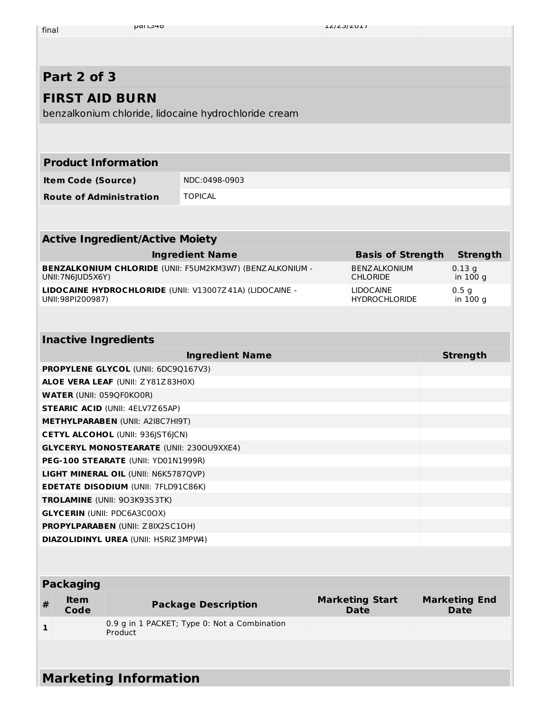| final |
|-------|
|       |

# **Part 2 of 3**

## **FIRST AID BURN**

benzalkonium chloride, lidocaine hydrochloride cream

| <b>Product Information</b>     |                |
|--------------------------------|----------------|
| <b>Item Code (Source)</b>      | NDC:0498-0903  |
| <b>Route of Administration</b> | <b>TOPICAL</b> |

| <b>Active Ingredient/Active Moiety</b>                          |                          |                  |  |  |  |
|-----------------------------------------------------------------|--------------------------|------------------|--|--|--|
| <b>Ingredient Name</b>                                          | <b>Basis of Strength</b> | <b>Strength</b>  |  |  |  |
| <b>BENZALKONIUM CHLORIDE (UNII: F5UM2KM3W7) (BENZALKONIUM -</b> | <b>BENZ ALKONIUM</b>     | $0.13$ q         |  |  |  |
| UNII:7N6JUD5X6Y)                                                | <b>CHLORIDE</b>          | in 100 g         |  |  |  |
| LIDOCAINE HYDROCHLORIDE (UNII: V13007Z41A) (LIDOCAINE -         | <b>LIDOCAINE</b>         | 0.5 <sub>q</sub> |  |  |  |
| UNII:98PI200987)                                                | <b>HYDROCHLORIDE</b>     | in 100 g         |  |  |  |

## **Inactive Ingredients Ingredient Name Strength PROPYLENE GLYCOL** (UNII: 6DC9Q167V3) **ALOE VERA LEAF** (UNII: ZY81Z83H0X) **WATER** (UNII: 059QF0KO0R) **STEARIC ACID** (UNII: 4ELV7Z65AP) **METHYLPARABEN** (UNII: A2I8C7HI9T) **CETYL ALCOHOL** (UNII: 936JST6JCN) **GLYCERYL MONOSTEARATE** (UNII: 230OU9XXE4) **PEG-100 STEARATE** (UNII: YD01N1999R) **LIGHT MINERAL OIL** (UNII: N6K5787QVP) **EDETATE DISODIUM** (UNII: 7FLD91C86K) **TROLAMINE** (UNII: 9O3K93S3TK) **GLYCERIN** (UNII: PDC6A3C0OX) **PROPYLPARABEN** (UNII: Z8IX2SC1OH) **DIAZOLIDINYL UREA** (UNII: H5RIZ3MPW4)

| <b>Packaging</b>      |                     |                                                         |                                       |                                     |  |  |  |  |
|-----------------------|---------------------|---------------------------------------------------------|---------------------------------------|-------------------------------------|--|--|--|--|
| #                     | <b>Item</b><br>Code | <b>Package Description</b>                              | <b>Marketing Start</b><br><b>Date</b> | <b>Marketing End</b><br><b>Date</b> |  |  |  |  |
|                       |                     | 0.9 g in 1 PACKET; Type 0: Not a Combination<br>Product |                                       |                                     |  |  |  |  |
|                       |                     |                                                         |                                       |                                     |  |  |  |  |
| Markating Information |                     |                                                         |                                       |                                     |  |  |  |  |

# **Marketing Information**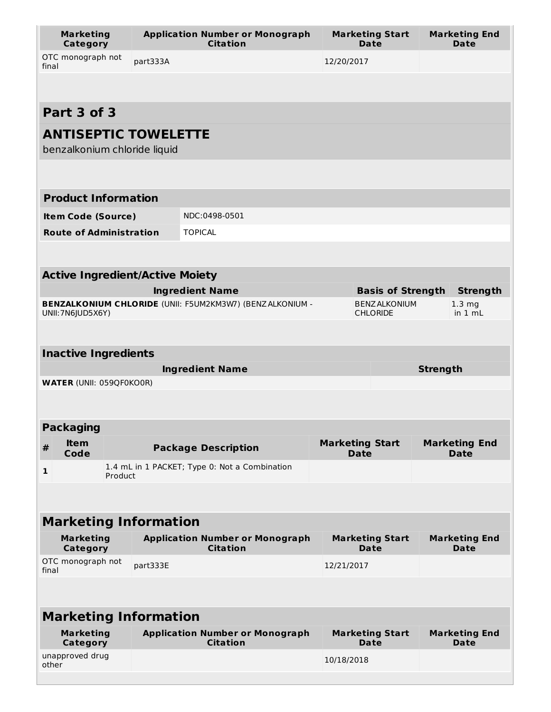| <b>Marketing</b><br><b>Category</b>    |          | <b>Application Number or Monograph</b><br><b>Citation</b>       | <b>Marketing Start</b><br>Date          | <b>Marketing End</b><br><b>Date</b> |  |  |  |  |  |
|----------------------------------------|----------|-----------------------------------------------------------------|-----------------------------------------|-------------------------------------|--|--|--|--|--|
| OTC monograph not<br>final             | part333A |                                                                 | 12/20/2017                              |                                     |  |  |  |  |  |
|                                        |          |                                                                 |                                         |                                     |  |  |  |  |  |
| Part 3 of 3                            |          |                                                                 |                                         |                                     |  |  |  |  |  |
| <b>ANTISEPTIC TOWELETTE</b>            |          |                                                                 |                                         |                                     |  |  |  |  |  |
| benzalkonium chloride liquid           |          |                                                                 |                                         |                                     |  |  |  |  |  |
|                                        |          |                                                                 |                                         |                                     |  |  |  |  |  |
| <b>Product Information</b>             |          |                                                                 |                                         |                                     |  |  |  |  |  |
| <b>Item Code (Source)</b>              |          | NDC:0498-0501                                                   |                                         |                                     |  |  |  |  |  |
| <b>Route of Administration</b>         |          | <b>TOPICAL</b>                                                  |                                         |                                     |  |  |  |  |  |
|                                        |          |                                                                 |                                         |                                     |  |  |  |  |  |
| <b>Active Ingredient/Active Moiety</b> |          |                                                                 |                                         |                                     |  |  |  |  |  |
|                                        |          | <b>Ingredient Name</b>                                          | <b>Basis of Strength</b>                | <b>Strength</b>                     |  |  |  |  |  |
| UNII: 7N6JUD5X6Y)                      |          | <b>BENZALKONIUM CHLORIDE (UNII: F5UM2KM3W7) (BENZALKONIUM -</b> | <b>BENZ ALKONIUM</b><br><b>CHLORIDE</b> | 1.3 <sub>mg</sub><br>in $1 mL$      |  |  |  |  |  |
|                                        |          |                                                                 |                                         |                                     |  |  |  |  |  |
| <b>Inactive Ingredients</b>            |          |                                                                 |                                         |                                     |  |  |  |  |  |
|                                        |          | <b>Ingredient Name</b>                                          | <b>Strength</b>                         |                                     |  |  |  |  |  |
| <b>WATER (UNII: 059QF0KO0R)</b>        |          |                                                                 |                                         |                                     |  |  |  |  |  |
|                                        |          |                                                                 |                                         |                                     |  |  |  |  |  |
| <b>Packaging</b>                       |          |                                                                 |                                         |                                     |  |  |  |  |  |
| <b>Item</b><br>$\#$<br>Code            |          | <b>Package Description</b>                                      | <b>Marketing Start</b><br><b>Date</b>   | <b>Marketing End</b><br><b>Date</b> |  |  |  |  |  |
| 1                                      | Product  | 1.4 mL in 1 PACKET; Type 0: Not a Combination                   |                                         |                                     |  |  |  |  |  |
|                                        |          |                                                                 |                                         |                                     |  |  |  |  |  |
| <b>Marketing Information</b>           |          |                                                                 |                                         |                                     |  |  |  |  |  |
| <b>Marketing</b><br><b>Category</b>    |          | <b>Application Number or Monograph</b><br><b>Citation</b>       | <b>Marketing Start</b><br>Date          | <b>Marketing End</b><br>Date        |  |  |  |  |  |
| OTC monograph not<br>final             | part333E |                                                                 | 12/21/2017                              |                                     |  |  |  |  |  |
|                                        |          |                                                                 |                                         |                                     |  |  |  |  |  |
| <b>Marketing Information</b>           |          |                                                                 |                                         |                                     |  |  |  |  |  |
| <b>Marketing</b><br>Category           |          |                                                                 | <b>Marketing Start</b>                  | <b>Marketing End</b>                |  |  |  |  |  |
|                                        |          | <b>Application Number or Monograph</b><br><b>Citation</b>       | Date                                    | Date                                |  |  |  |  |  |
| unapproved drug<br>other               |          |                                                                 | 10/18/2018                              |                                     |  |  |  |  |  |